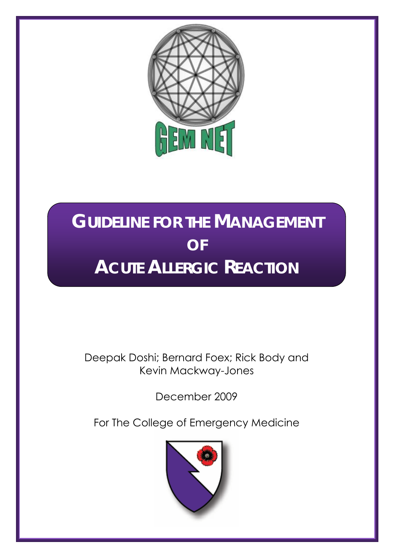

# **GUIDELINE FOR THE MANAGEMENT OF ACUTE ALLERGIC REACTION**

## Deepak Doshi; Bernard Foex; Rick Body and Kevin Mackway-Jones

December 2009

For The College of Emergency Medicine

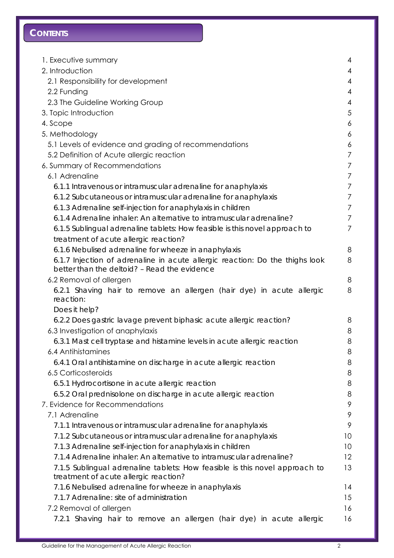## **CONTENTS**

| 1. Executive summary                                                                                                         | $\overline{4}$ |
|------------------------------------------------------------------------------------------------------------------------------|----------------|
| 2. Introduction                                                                                                              | 4              |
| 2.1 Responsibility for development                                                                                           | 4              |
| 2.2 Funding                                                                                                                  | $\overline{4}$ |
| 2.3 The Guideline Working Group                                                                                              | 4              |
| 3. Topic Introduction                                                                                                        | 5              |
| 4. Scope                                                                                                                     | 6              |
| 5. Methodology                                                                                                               | 6              |
| 5.1 Levels of evidence and grading of recommendations                                                                        | 6              |
| 5.2 Definition of Acute allergic reaction                                                                                    | $\overline{7}$ |
| 6. Summary of Recommendations                                                                                                | $\overline{7}$ |
| 6.1 Adrenaline                                                                                                               | 7              |
| 6.1.1 Intravenous or intramuscular adrenaline for anaphylaxis                                                                | 7              |
| 6.1.2 Subcutaneous or intramuscular adrenaline for anaphylaxis                                                               | $\overline{7}$ |
| 6.1.3 Adrenaline self-injection for anaphylaxis in children                                                                  | 7              |
| 6.1.4 Adrenaline inhaler: An alternative to intramuscular adrenaline?                                                        | 7              |
| 6.1.5 Sublingual adrenaline tablets: How feasible is this novel approach to                                                  | $\overline{7}$ |
| treatment of acute allergic reaction?                                                                                        |                |
| 6.1.6 Nebulised adrenaline for wheeze in anaphylaxis                                                                         | 8              |
| 6.1.7 Injection of adrenaline in acute allergic reaction: Do the thighs look<br>better than the deltoid? - Read the evidence | 8              |
| 6.2 Removal of allergen                                                                                                      | 8              |
| 6.2.1 Shaving hair to remove an allergen (hair dye) in acute allergic<br>reaction:                                           | 8              |
| Does it help?                                                                                                                |                |
| 6.2.2 Does gastric lavage prevent biphasic acute allergic reaction?                                                          | 8              |
| 6.3 Investigation of anaphylaxis                                                                                             | 8              |
| 6.3.1 Mast cell tryptase and histamine levels in acute allergic reaction                                                     | 8              |
| 6.4 Antihistamines                                                                                                           | 8              |
| 6.4.1 Oral antihistamine on discharge in acute allergic reaction                                                             | 8              |
| 6.5 Corticosteroids                                                                                                          | 8              |
| 6.5.1 Hydrocortisone in acute allergic reaction                                                                              | 8              |
| 6.5.2 Oral prednisolone on discharge in acute allergic reaction                                                              | 8              |
| 7. Evidence for Recommendations                                                                                              | 9              |
| 7.1 Adrenaline                                                                                                               | 9              |
| 7.1.1 Intravenous or intramuscular adrenaline for anaphylaxis                                                                | 9              |
| 7.1.2 Subcutaneous or intramuscular adrenaline for anaphylaxis                                                               | 10             |
| 7.1.3 Adrenaline self-injection for anaphylaxis in children                                                                  | 10             |
| 7.1.4 Adrenaline inhaler: An alternative to intramuscular adrenaline?                                                        | 12             |
| 7.1.5 Sublingual adrenaline tablets: How feasible is this novel approach to<br>treatment of acute allergic reaction?         | 13             |
| 7.1.6 Nebulised adrenaline for wheeze in anaphylaxis                                                                         | 14             |
| 7.1.7 Adrenaline: site of administration                                                                                     | 15             |
| 7.2 Removal of allergen                                                                                                      | 16             |
| 7.2.1 Shaving hair to remove an allergen (hair dye) in acute allergic                                                        | 16             |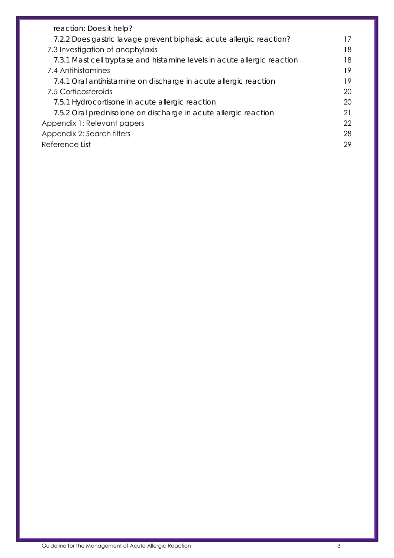| reaction: Does it help?                                                  |    |
|--------------------------------------------------------------------------|----|
| 7.2.2 Does gastric lavage prevent biphasic acute allergic reaction?      | 17 |
| 7.3 Investigation of anaphylaxis                                         | 18 |
| 7.3.1 Mast cell tryptase and histamine levels in acute allergic reaction | 18 |
| 7.4 Antihistamines                                                       | 19 |
| 7.4.1 Oral antihistamine on discharge in acute allergic reaction         | 19 |
| 7.5 Corticosteroids                                                      | 20 |
| 7.5.1 Hydrocortisone in acute allergic reaction                          | 20 |
| 7.5.2 Oral prednisolone on discharge in acute allergic reaction          | 21 |
| Appendix 1: Relevant papers                                              | 22 |
| Appendix 2: Search filters                                               | 28 |
| Reference List                                                           | 29 |
|                                                                          |    |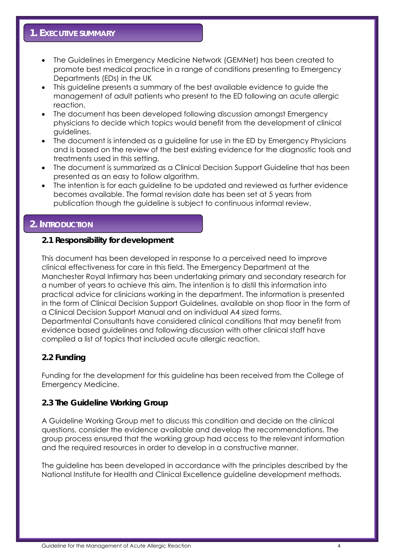## **1. EXECUTIVE SUMMARY**

- The Guidelines in Emergency Medicine Network (GEMNet) has been created to promote best medical practice in a range of conditions presenting to Emergency Departments (EDs) in the UK
- This guideline presents a summary of the best available evidence to guide the management of adult patients who present to the ED following an acute allergic reaction.
- The document has been developed following discussion amongst Emergency physicians to decide which topics would benefit from the development of clinical guidelines.
- The document is intended as a guideline for use in the ED by Emergency Physicians and is based on the review of the best existing evidence for the diagnostic tools and treatments used in this setting.
- The document is summarized as a Clinical Decision Support Guideline that has been presented as an easy to follow algorithm.
- The intention is for each guideline to be updated and reviewed as further evidence becomes available. The formal revision date has been set at 5 years from publication though the guideline is subject to continuous informal review.

## **2. INTRODUCTION**

## **2.1 Responsibility for development**

This document has been developed in response to a perceived need to improve clinical effectiveness for care in this field. The Emergency Department at the Manchester Royal Infirmary has been undertaking primary and secondary research for a number of years to achieve this aim. The intention is to distil this information into practical advice for clinicians working in the department. The information is presented in the form of Clinical Decision Support Guidelines, available on shop floor in the form of a Clinical Decision Support Manual and on individual A4 sized forms. Departmental Consultants have considered clinical conditions that may benefit from evidence based guidelines and following discussion with other clinical staff have compiled a list of topics that included acute allergic reaction.

## **2.2 Funding**

Funding for the development for this guideline has been received from the College of Emergency Medicine.

#### **2.3 The Guideline Working Group**

A Guideline Working Group met to discuss this condition and decide on the clinical questions, consider the evidence available and develop the recommendations. The group process ensured that the working group had access to the relevant information and the required resources in order to develop in a constructive manner.

The guideline has been developed in accordance with the principles described by the National Institute for Health and Clinical Excellence guideline development methods.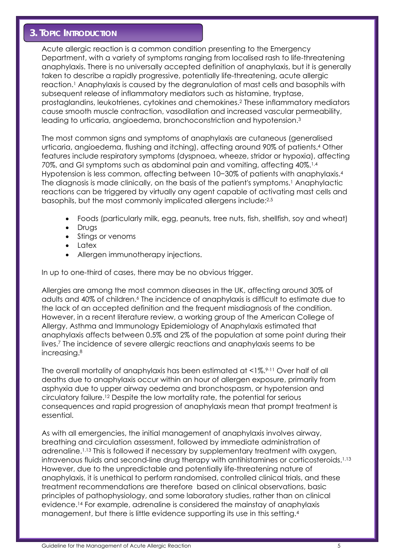## **3. TOPIC INTRODUCTION**

Acute allergic reaction is a common condition presenting to the Emergency Department, with a variety of symptoms ranging from localised rash to life-threatening anaphylaxis. There is no universally accepted definition of anaphylaxis, but it is generally taken to describe a rapidly progressive, potentially life-threatening, acute allergic reaction.1 Anaphylaxis is caused by the degranulation of mast cells and basophils with subsequent release of inflammatory mediators such as histamine, tryptase, prostaglandins, leukotrienes, cytokines and chemokines.2 These inflammatory mediators cause smooth muscle contraction, vasodilation and increased vascular permeability, leading to urticaria, angioedema, bronchoconstriction and hypotension.<sup>3</sup>

The most common signs and symptoms of anaphylaxis are cutaneous (generalised urticaria, angioedema, flushing and itching), affecting around 90% of patients.4 Other features include respiratory symptoms (dyspnoea, wheeze, stridor or hypoxia), affecting 70%, and GI symptoms such as abdominal pain and vomiting, affecting 40%.1,4 Hypotension is less common, affecting between 10−30% of patients with anaphylaxis.4 The diagnosis is made clinically, on the basis of the patient's symptoms.<sup>1</sup> Anaphylactic reactions can be triggered by virtually any agent capable of activating mast cells and basophils, but the most commonly implicated allergens include:2,5

- Foods (particularly milk, egg, peanuts, tree nuts, fish, shellfish, soy and wheat)
- **Drugs**
- Stings or venoms
- Latex
- Allergen immunotherapy injections.

In up to one-third of cases, there may be no obvious trigger.

Allergies are among the most common diseases in the UK, affecting around 30% of adults and 40% of children.6 The incidence of anaphylaxis is difficult to estimate due to the lack of an accepted definition and the frequent misdiagnosis of the condition. However, in a recent literature review, a working group of the American College of Allergy, Asthma and Immunology Epidemiology of Anaphylaxis estimated that anaphylaxis affects between 0.5% and 2% of the population at some point during their lives.7 The incidence of severe allergic reactions and anaphylaxis seems to be increasing.8

The overall mortality of anaphylaxis has been estimated at <1%.<sup>9-11</sup> Over half of all deaths due to anaphylaxis occur within an hour of allergen exposure, primarily from asphyxia due to upper airway oedema and bronchospasm, or hypotension and circulatory failure.12 Despite the low mortality rate, the potential for serious consequences and rapid progression of anaphylaxis mean that prompt treatment is essential.

As with all emergencies, the initial management of anaphylaxis involves airway, breathing and circulation assessment, followed by immediate administration of adrenaline.1,13 This is followed if necessary by supplementary treatment with oxygen, intravenous fluids and second-line drug therapy with antihistamines or corticosteroids.<sup>1,13</sup> However, due to the unpredictable and potentially life-threatening nature of anaphylaxis, it is unethical to perform randomised, controlled clinical trials, and these treatment recommendations are therefore based on clinical observations, basic principles of pathophysiology, and some laboratory studies, rather than on clinical evidence.14 For example, adrenaline is considered the mainstay of anaphylaxis management, but there is little evidence supporting its use in this setting.<sup>4</sup>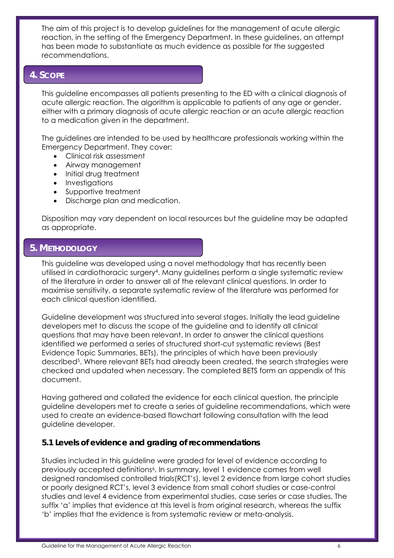The aim of this project is to develop guidelines for the management of acute allergic reaction, in the setting of the Emergency Department. In these guidelines, an attempt has been made to substantiate as much evidence as possible for the suggested recommendations.

## **4. SCOPE**

This guideline encompasses all patients presenting to the ED with a clinical diagnosis of acute allergic reaction. The algorithm is applicable to patients of any age or gender, either with a primary diagnosis of acute allergic reaction or an acute allergic reaction to a medication given in the department.

The guidelines are intended to be used by healthcare professionals working within the Emergency Department. They cover:

- Clinical risk assessment
- Airway management
- Initial drug treatment
- Investigations
- Supportive treatment
- Discharge plan and medication.

Disposition may vary dependent on local resources but the guideline may be adapted as appropriate.

## **5. METHODOLOGY**

This guideline was developed using a novel methodology that has recently been utilised in cardiothoracic surgery4. Many guidelines perform a single systematic review of the literature in order to answer all of the relevant clinical questions. In order to maximise sensitivity, a separate systematic review of the literature was performed for each clinical question identified.

Guideline development was structured into several stages. Initially the lead guideline developers met to discuss the scope of the guideline and to identify all clinical questions that may have been relevant. In order to answer the clinical questions identified we performed a series of structured short-cut systematic reviews (Best Evidence Topic Summaries, BETs), the principles of which have been previously described<sup>5</sup>. Where relevant BETs had already been created, the search strategies were checked and updated when necessary. The completed BETS form an appendix of this document.

Having gathered and collated the evidence for each clinical question, the principle guideline developers met to create a series of guideline recommendations, which were used to create an evidence-based flowchart following consultation with the lead guideline developer.

## **5.1 Levels of evidence and grading of recommendations**

Studies included in this guideline were graded for level of evidence according to previously accepted definitions<sup>6</sup>. In summary, level 1 evidence comes from well designed randomised controlled trials(RCT's), level 2 evidence from large cohort studies or poorly designed RCT's, level 3 evidence from small cohort studies or case-control studies and level 4 evidence from experimental studies, case series or case studies. The suffix 'a' implies that evidence at this level is from original research, whereas the suffix 'b' implies that the evidence is from systematic review or meta-analysis.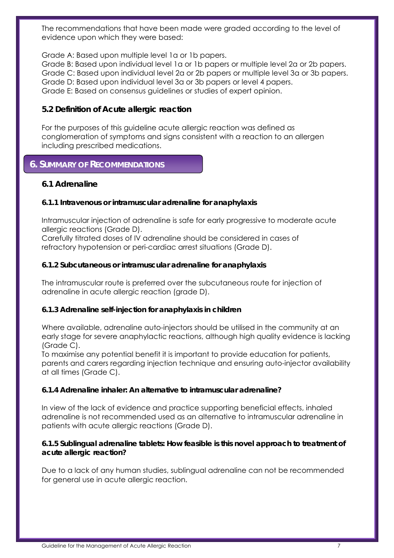The recommendations that have been made were graded according to the level of evidence upon which they were based:

Grade A: Based upon multiple level 1a or 1b papers. Grade B: Based upon individual level 1a or 1b papers or multiple level 2a or 2b papers. Grade C: Based upon individual level 2a or 2b papers or multiple level 3a or 3b papers. Grade D: Based upon individual level 3a or 3b papers or level 4 papers. Grade E: Based on consensus guidelines or studies of expert opinion.

## **5.2 Definition of Acute allergic reaction**

For the purposes of this guideline acute allergic reaction was defined as conglomeration of symptoms and signs consistent with a reaction to an allergen including prescribed medications.

## **6. SUMMARY OF RECOMMENDATIONS**

## **6.1 Adrenaline**

## *6.1.1 Intravenous or intramuscular adrenaline for anaphylaxis*

Intramuscular injection of adrenaline is safe for early progressive to moderate acute allergic reactions (Grade D).

Carefully titrated doses of IV adrenaline should be considered in cases of refractory hypotension or peri-cardiac arrest situations (Grade D).

## *6.1.2 Subcutaneous or intramuscular adrenaline for anaphylaxis*

The intramuscular route is preferred over the subcutaneous route for injection of adrenaline in acute allergic reaction (grade D).

## *6.1.3 Adrenaline self-injection for anaphylaxis in children*

Where available, adrenaline auto-injectors should be utilised in the community at an early stage for severe anaphylactic reactions, although high quality evidence is lacking (Grade C).

To maximise any potential benefit it is important to provide education for patients, parents and carers regarding injection technique and ensuring auto-injector availability at all times (Grade C).

## *6.1.4 Adrenaline inhaler: An alternative to intramuscular adrenaline?*

In view of the lack of evidence and practice supporting beneficial effects, inhaled adrenaline is not recommended used as an alternative to intramuscular adrenaline in patients with acute allergic reactions (Grade D).

## *6.1.5 Sublingual adrenaline tablets: How feasible is this novel approach to treatment of acute allergic reaction?*

Due to a lack of any human studies, sublingual adrenaline can not be recommended for general use in acute allergic reaction.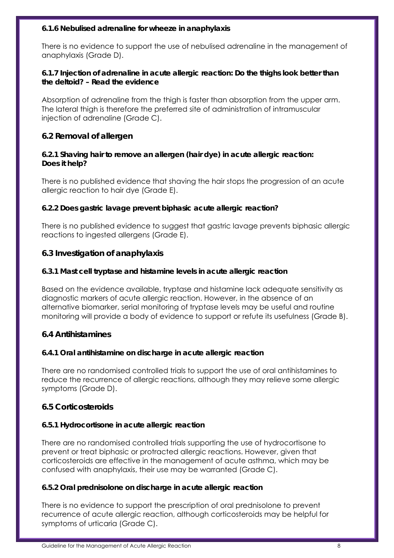## *6.1.6 Nebulised adrenaline for wheeze in anaphylaxis*

There is no evidence to support the use of nebulised adrenaline in the management of anaphylaxis (Grade D).

## *6.1.7 Injection of adrenaline in acute allergic reaction: Do the thighs look better than the deltoid? – Read the evidence*

Absorption of adrenaline from the thigh is faster than absorption from the upper arm. The lateral thigh is therefore the preferred site of administration of intramuscular injection of adrenaline (Grade C).

## **6.2 Removal of allergen**

## *6.2.1 Shaving hair to remove an allergen (hair dye) in acute allergic reaction: Does it help?*

There is no published evidence that shaving the hair stops the progression of an acute allergic reaction to hair dye (Grade E).

## *6.2.2 Does gastric lavage prevent biphasic acute allergic reaction?*

There is no published evidence to suggest that gastric lavage prevents biphasic allergic reactions to ingested allergens (Grade E).

## **6.3 Investigation of anaphylaxis**

## *6.3.1 Mast cell tryptase and histamine levels in acute allergic reaction*

Based on the evidence available, tryptase and histamine lack adequate sensitivity as diagnostic markers of acute allergic reaction. However, in the absence of an alternative biomarker, serial monitoring of tryptase levels may be useful and routine monitoring will provide a body of evidence to support or refute its usefulness (Grade B).

## **6.4 Antihistamines**

## *6.4.1 Oral antihistamine on discharge in acute allergic reaction*

There are no randomised controlled trials to support the use of oral antihistamines to reduce the recurrence of allergic reactions, although they may relieve some allergic symptoms (Grade D).

## **6.5 Corticosteroids**

## *6.5.1 Hydrocortisone in acute allergic reaction*

There are no randomised controlled trials supporting the use of hydrocortisone to prevent or treat biphasic or protracted allergic reactions. However, given that corticosteroids are effective in the management of acute asthma, which may be confused with anaphylaxis, their use may be warranted (Grade C).

## *6.5.2 Oral prednisolone on discharge in acute allergic reaction*

There is no evidence to support the prescription of oral prednisolone to prevent recurrence of acute allergic reaction, although corticosteroids may be helpful for symptoms of urticaria (Grade C).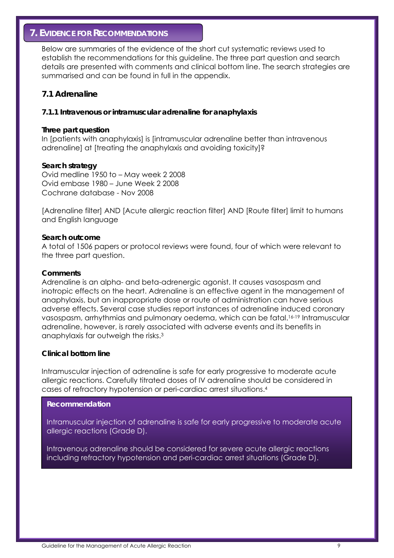## **7. EVIDENCE FOR RECOMMENDATIONS**

Below are summaries of the evidence of the short cut systematic reviews used to establish the recommendations for this guideline. The three part question and search details are presented with comments and clinical bottom line. The search strategies are summarised and can be found in full in the appendix.

## **7.1 Adrenaline**

#### *7.1.1 Intravenous or intramuscular adrenaline for anaphylaxis*

#### **Three part question**

In [patients with anaphylaxis] is [intramuscular adrenaline better than intravenous adrenaline] at [treating the anaphylaxis and avoiding toxicity]?

#### **Search strategy**

Ovid medline 1950 to – May week 2 2008 Ovid embase 1980 – June Week 2 2008 Cochrane database - Nov 2008

[Adrenaline filter] AND [Acute allergic reaction filter] AND [Route filter] limit to humans and English language

#### **Search outcome**

A total of 1506 papers or protocol reviews were found, four of which were relevant to the three part question.

#### **Comments**

Adrenaline is an alpha- and beta-adrenergic agonist. It causes vasospasm and inotropic effects on the heart. Adrenaline is an effective agent in the management of anaphylaxis, but an inappropriate dose or route of administration can have serious adverse effects. Several case studies report instances of adrenaline induced coronary vasospasm, arrhythmias and pulmonary oedema, which can be fatal.16-19 Intramuscular adrenaline, however, is rarely associated with adverse events and its benefits in anaphylaxis far outweigh the risks.3

#### **Clinical bottom line**

Intramuscular injection of adrenaline is safe for early progressive to moderate acute allergic reactions. Carefully titrated doses of IV adrenaline should be considered in cases of refractory hypotension or peri-cardiac arrest situations.4

#### **Recommendation**

Intramuscular injection of adrenaline is safe for early progressive to moderate acute allergic reactions (Grade D).

Intravenous adrenaline should be considered for severe acute allergic reactions including refractory hypotension and peri-cardiac arrest situations (Grade D).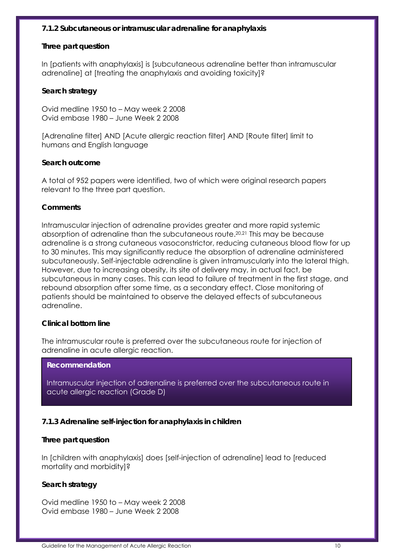#### *7.1.2 Subcutaneous or intramuscular adrenaline for anaphylaxis*

#### **Three part question**

In [patients with anaphylaxis] is [subcutaneous adrenaline better than intramuscular adrenaline] at [treating the anaphylaxis and avoiding toxicity]?

#### **Search strategy**

Ovid medline 1950 to – May week 2 2008 Ovid embase 1980 – June Week 2 2008

[Adrenaline filter] AND [Acute allergic reaction filter] AND [Route filter] limit to humans and English language

#### **Search outcome**

A total of 952 papers were identified, two of which were original research papers relevant to the three part question.

#### **Comments**

Intramuscular injection of adrenaline provides greater and more rapid systemic absorption of adrenaline than the subcutaneous route.20,21 This may be because adrenaline is a strong cutaneous vasoconstrictor, reducing cutaneous blood flow for up to 30 minutes. This may significantly reduce the absorption of adrenaline administered subcutaneously. Self-injectable adrenaline is given intramuscularly into the lateral thigh. However, due to increasing obesity, its site of delivery may, in actual fact, be subcutaneous in many cases. This can lead to failure of treatment in the first stage, and rebound absorption after some time, as a secondary effect. Close monitoring of patients should be maintained to observe the delayed effects of subcutaneous adrenaline.

#### **Clinical bottom line**

The intramuscular route is preferred over the subcutaneous route for injection of adrenaline in acute allergic reaction.

#### **Recommendation**

Intramuscular injection of adrenaline is preferred over the subcutaneous route in acute allergic reaction (Grade D)

## *7.1.3 Adrenaline self-injection for anaphylaxis in children*

#### **Three part question**

In [children with anaphylaxis] does [self-injection of adrenaline] lead to [reduced mortality and morbidity]?

## **Search strategy**

Ovid medline 1950 to – May week 2 2008 Ovid embase 1980 – June Week 2 2008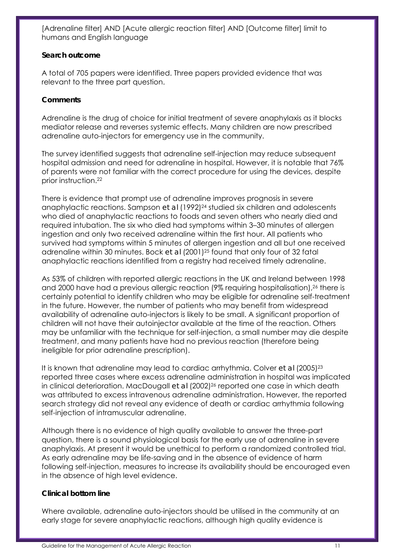[Adrenaline filter] AND [Acute allergic reaction filter] AND [Outcome filter] limit to humans and English language

## **Search outcome**

A total of 705 papers were identified. Three papers provided evidence that was relevant to the three part question.

## **Comments**

Adrenaline is the drug of choice for initial treatment of severe anaphylaxis as it blocks mediator release and reverses systemic effects. Many children are now prescribed adrenaline auto-injectors for emergency use in the community.

The survey identified suggests that adrenaline self-injection may reduce subsequent hospital admission and need for adrenaline in hospital. However, it is notable that 76% of parents were not familiar with the correct procedure for using the devices, despite prior instruction.22

There is evidence that prompt use of adrenaline improves prognosis in severe anaphylactic reactions. Sampson *et al* (1992)<sup>24</sup> studied six children and adolescents who died of anaphylactic reactions to foods and seven others who nearly died and required intubation. The six who died had symptoms within 3–30 minutes of allergen ingestion and only two received adrenaline within the first hour. All patients who survived had symptoms within 5 minutes of allergen ingestion and all but one received adrenaline within 30 minutes. Bock *et al* (2001)25 found that only four of 32 fatal anaphylactic reactions identified from a registry had received timely adrenaline.

As 53% of children with reported allergic reactions in the UK and Ireland between 1998 and 2000 have had a previous allergic reaction (9% requiring hospitalisation),<sup>26</sup> there is certainly potential to identify children who may be eligible for adrenaline self-treatment in the future. However, the number of patients who may benefit from widespread availability of adrenaline auto-injectors is likely to be small. A significant proportion of children will not have their autoinjector available at the time of the reaction. Others may be unfamiliar with the technique for self-injection, a small number may die despite treatment, and many patients have had no previous reaction (therefore being ineligible for prior adrenaline prescription).

It is known that adrenaline may lead to cardiac arrhythmia. Colver *et al* (2005)23 reported three cases where excess adrenaline administration in hospital was implicated in clinical deterioration. MacDougall *et al* (2002)<sup>26</sup> reported one case in which death was attributed to excess intravenous adrenaline administration. However, the reported search strategy did not reveal any evidence of death or cardiac arrhythmia following self-injection of intramuscular adrenaline.

Although there is no evidence of high quality available to answer the three-part question, there is a sound physiological basis for the early use of adrenaline in severe anaphylaxis. At present it would be unethical to perform a randomized controlled trial. As early adrenaline may be life-saving and in the absence of evidence of harm following self-injection, measures to increase its availability should be encouraged even in the absence of high level evidence.

## **Clinical bottom line**

Where available, adrenaline auto-injectors should be utilised in the community at an early stage for severe anaphylactic reactions, although high quality evidence is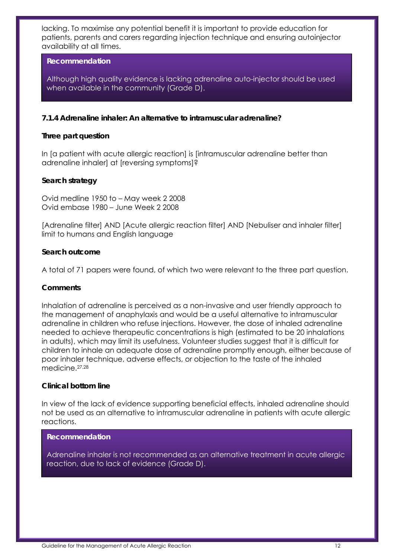lacking. To maximise any potential benefit it is important to provide education for patients, parents and carers regarding injection technique and ensuring autoinjector availability at all times.

#### **Recommendation**

Although high quality evidence is lacking adrenaline auto-injector should be used when available in the community (Grade D).

#### *7.1.4 Adrenaline inhaler: An alternative to intramuscular adrenaline?*

#### **Three part question**

In [a patient with acute allergic reaction] is [intramuscular adrenaline better than adrenaline inhaler] at [reversing symptoms]?

#### **Search strategy**

Ovid medline 1950 to – May week 2 2008 Ovid embase 1980 – June Week 2 2008

[Adrenaline filter] AND [Acute allergic reaction filter] AND [Nebuliser and inhaler filter] limit to humans and English language

#### **Search outcome**

A total of 71 papers were found, of which two were relevant to the three part question.

#### **Comments**

Inhalation of adrenaline is perceived as a non-invasive and user friendly approach to the management of anaphylaxis and would be a useful alternative to intramuscular adrenaline in children who refuse injections. However, the dose of inhaled adrenaline needed to achieve therapeutic concentrations is high (estimated to be 20 inhalations in adults), which may limit its usefulness. Volunteer studies suggest that it is difficult for children to inhale an adequate dose of adrenaline promptly enough, either because of poor inhaler technique, adverse effects, or objection to the taste of the inhaled medicine.27,28

#### **Clinical bottom line**

In view of the lack of evidence supporting beneficial effects, inhaled adrenaline should not be used as an alternative to intramuscular adrenaline in patients with acute allergic reactions.

#### **Recommendation**

Adrenaline inhaler is not recommended as an alternative treatment in acute allergic reaction, due to lack of evidence (Grade D).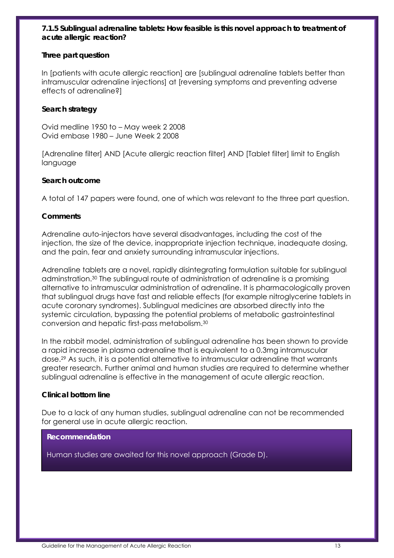## *7.1.5 Sublingual adrenaline tablets: How feasible is this novel approach to treatment of acute allergic reaction?*

## **Three part question**

In [patients with acute allergic reaction] are [sublingual adrenaline tablets better than intramuscular adrenaline injections] at [reversing symptoms and preventing adverse effects of adrenaline?]

## **Search strategy**

Ovid medline 1950 to – May week 2 2008 Ovid embase 1980 – June Week 2 2008

[Adrenaline filter] AND [Acute allergic reaction filter] AND [Tablet filter] limit to English language

#### **Search outcome**

A total of 147 papers were found, one of which was relevant to the three part question.

#### **Comments**

Adrenaline auto-injectors have several disadvantages, including the cost of the injection, the size of the device, inappropriate injection technique, inadequate dosing, and the pain, fear and anxiety surrounding intramuscular injections.

Adrenaline tablets are a novel, rapidly disintegrating formulation suitable for sublingual adminstration.30 The sublingual route of administration of adrenaline is a promising alternative to intramuscular administration of adrenaline. It is pharmacologically proven that sublingual drugs have fast and reliable effects (for example nitroglycerine tablets in acute coronary syndromes). Sublingual medicines are absorbed directly into the systemic circulation, bypassing the potential problems of metabolic gastrointestinal conversion and hepatic first-pass metabolism.30

In the rabbit model, administration of sublingual adrenaline has been shown to provide a rapid increase in plasma adrenaline that is equivalent to a 0.3mg intramuscular dose.29 As such, it is a potential alternative to intramuscular adrenaline that warrants greater research. Further animal and human studies are required to determine whether sublingual adrenaline is effective in the management of acute allergic reaction.

#### **Clinical bottom line**

Due to a lack of any human studies, sublingual adrenaline can not be recommended for general use in acute allergic reaction.

#### **Recommendation**

Human studies are awaited for this novel approach (Grade D).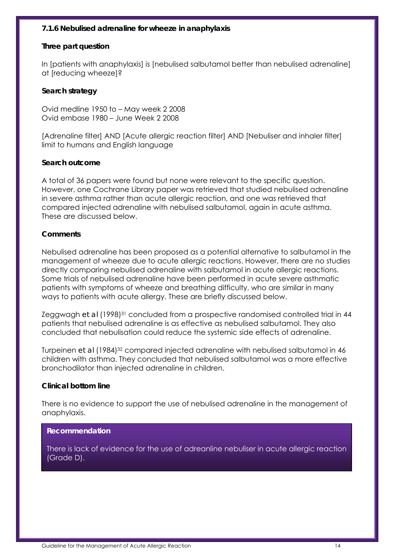#### *7.1.6 Nebulised adrenaline for wheeze in anaphylaxis*

#### **Three part question**

In [patients with anaphylaxis] is [nebulised salbutamol better than nebulised adrenaline] at [reducing wheeze]?

#### **Search strategy**

Ovid medline 1950 to – May week 2 2008 Ovid embase 1980 – June Week 2 2008

[Adrenaline filter] AND [Acute allergic reaction filter] AND [Nebuliser and inhaler filter] limit to humans and English language

#### **Search outcome**

A total of 36 papers were found but none were relevant to the specific question. However, one Cochrane Library paper was retrieved that studied nebulised adrenaline in severe asthma rather than acute allergic reaction, and one was retrieved that compared injected adrenaline with nebulised salbutamol, again in acute asthma. These are discussed below.

#### **Comments**

Nebulised adrenaline has been proposed as a potential alternative to salbutamol in the management of wheeze due to acute allergic reactions. However, there are no studies directly comparing nebulised adrenaline with salbutamol in acute allergic reactions. Some trials of nebulised adrenaline have been performed in acute severe asthmatic patients with symptoms of wheeze and breathing difficulty, who are similar in many ways to patients with acute allergy. These are briefly discussed below.

Zeggwagh *et al* (1998)<sup>31</sup> concluded from a prospective randomised controlled trial in 44 patients that nebulised adrenaline is as effective as nebulised salbutamol. They also concluded that nebulisation could reduce the systemic side effects of adrenaline.

Turpeinen *et al* (1984)<sup>32</sup> compared injected adrenaline with nebulised salbutamol in 46 children with asthma. They concluded that nebulised salbutamol was a more effective bronchodilator than injected adrenaline in children.

#### **Clinical bottom line**

There is no evidence to support the use of nebulised adrenaline in the management of anaphylaxis.

#### **Recommendation**

There is lack of evidence for the use of adreanline nebuliser in acute allergic reaction (Grade D).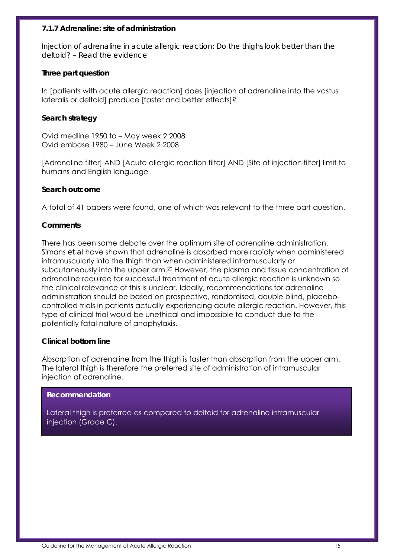#### *7.1.7 Adrenaline: site of administration*

*Injection of adrenaline in acute allergic reaction: Do the thighs look better than the deltoid? – Read the evidence* 

#### **Three part question**

In [patients with acute allergic reaction] does [injection of adrenaline into the vastus lateralis or deltoid] produce [faster and better effects]?

#### **Search strategy**

Ovid medline 1950 to – May week 2 2008 Ovid embase 1980 – June Week 2 2008

[Adrenaline filter] AND [Acute allergic reaction filter] AND [Site of injection filter] limit to humans and English language

#### **Search outcome**

A total of 41 papers were found, one of which was relevant to the three part question.

#### **Comments**

There has been some debate over the optimum site of adrenaline administration. Simons *et al* have shown that adrenaline is absorbed more rapidly when administered intramuscularly into the thigh than when administered intramuscularly or subcutaneously into the upper arm.20 However, the plasma and tissue concentration of adrenaline required for successful treatment of acute allergic reaction is unknown so the clinical relevance of this is unclear. Ideally, recommendations for adrenaline administration should be based on prospective, randomised, double blind, placebocontrolled trials in patients actually experiencing acute allergic reaction. However, this type of clinical trial would be unethical and impossible to conduct due to the potentially fatal nature of anaphylaxis.

#### **Clinical bottom line**

Absorption of adrenaline from the thigh is faster than absorption from the upper arm. The lateral thigh is therefore the preferred site of administration of intramuscular injection of adrenaline.

#### **Recommendation**

Lateral thigh is preferred as compared to deltoid for adrenaline intramuscular injection (Grade C).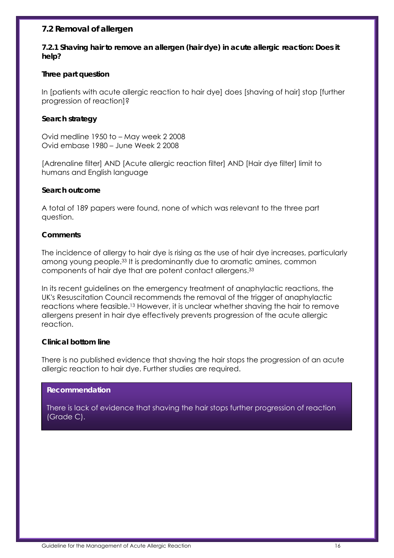## **7.2 Removal of allergen**

*7.2.1 Shaving hair to remove an allergen (hair dye) in acute allergic reaction: Does it help?* 

#### **Three part question**

In [patients with acute allergic reaction to hair dye] does [shaving of hair] stop [further progression of reaction]?

## **Search strategy**

Ovid medline 1950 to – May week 2 2008 Ovid embase 1980 – June Week 2 2008

[Adrenaline filter] AND [Acute allergic reaction filter] AND [Hair dye filter] limit to humans and English language

#### **Search outcome**

A total of 189 papers were found, none of which was relevant to the three part question.

#### **Comments**

The incidence of allergy to hair dye is rising as the use of hair dye increases, particularly among young people.33 It is predominantly due to aromatic amines, common components of hair dye that are potent contact allergens.33

In its recent guidelines on the emergency treatment of anaphylactic reactions, the UK's Resuscitation Council recommends the removal of the trigger of anaphylactic reactions where feasible.13 However, it is unclear whether shaving the hair to remove allergens present in hair dye effectively prevents progression of the acute allergic reaction.

#### **Clinical bottom line**

There is no published evidence that shaving the hair stops the progression of an acute allergic reaction to hair dye. Further studies are required.

#### **Recommendation**

There is lack of evidence that shaving the hair stops further progression of reaction (Grade C).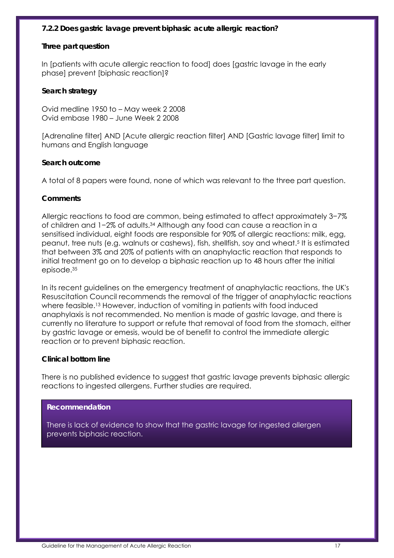#### *7.2.2 Does gastric lavage prevent biphasic acute allergic reaction?*

#### **Three part question**

In [patients with acute allergic reaction to food] does [gastric lavage in the early phase] prevent [biphasic reaction]?

#### **Search strategy**

Ovid medline 1950 to – May week 2 2008 Ovid embase 1980 – June Week 2 2008

[Adrenaline filter] AND [Acute allergic reaction filter] AND [Gastric lavage filter] limit to humans and English language

#### **Search outcome**

A total of 8 papers were found, none of which was relevant to the three part question.

#### **Comments**

Allergic reactions to food are common, being estimated to affect approximately 3−7% of children and 1−2% of adults.34 Although any food can cause a reaction in a sensitised individual, eight foods are responsible for 90% of allergic reactions: milk, egg, peanut, tree nuts (e.g. walnuts or cashews), fish, shellfish, soy and wheat.5 It is estimated that between 3% and 20% of patients with an anaphylactic reaction that responds to initial treatment go on to develop a biphasic reaction up to 48 hours after the initial episode.35

In its recent guidelines on the emergency treatment of anaphylactic reactions, the UK's Resuscitation Council recommends the removal of the trigger of anaphylactic reactions where feasible.13 However, induction of vomiting in patients with food induced anaphylaxis is not recommended. No mention is made of gastric lavage, and there is currently no literature to support or refute that removal of food from the stomach, either by gastric lavage or emesis, would be of benefit to control the immediate allergic reaction or to prevent biphasic reaction.

#### **Clinical bottom line**

There is no published evidence to suggest that gastric lavage prevents biphasic allergic reactions to ingested allergens. Further studies are required.

#### **Recommendation**

There is lack of evidence to show that the gastric lavage for ingested allergen prevents biphasic reaction.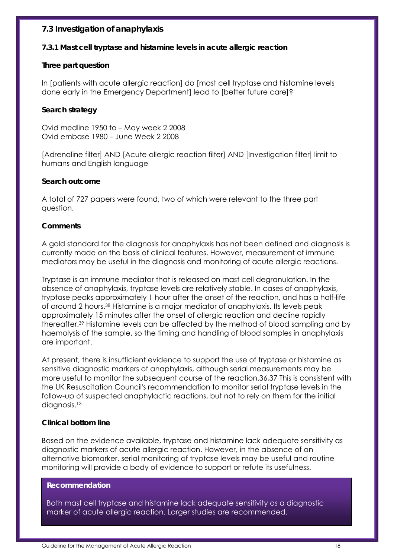## **7.3 Investigation of anaphylaxis**

#### *7.3.1 Mast cell tryptase and histamine levels in acute allergic reaction*

#### **Three part question**

In [patients with acute allergic reaction] do [mast cell tryptase and histamine levels done early in the Emergency Department] lead to [better future care]?

## **Search strategy**

Ovid medline 1950 to – May week 2 2008 Ovid embase 1980 – June Week 2 2008

[Adrenaline filter] AND [Acute allergic reaction filter] AND [Investigation filter] limit to humans and English language

#### **Search outcome**

A total of 727 papers were found, two of which were relevant to the three part question.

#### **Comments**

A gold standard for the diagnosis for anaphylaxis has not been defined and diagnosis is currently made on the basis of clinical features. However, measurement of immune mediators may be useful in the diagnosis and monitoring of acute allergic reactions.

Tryptase is an immune mediator that is released on mast cell degranulation. In the absence of anaphylaxis, tryptase levels are relatively stable. In cases of anaphylaxis, tryptase peaks approximately 1 hour after the onset of the reaction, and has a half-life of around 2 hours.38 Histamine is a major mediator of anaphylaxis. Its levels peak approximately 15 minutes after the onset of allergic reaction and decline rapidly thereafter.39 Histamine levels can be affected by the method of blood sampling and by haemolysis of the sample, so the timing and handling of blood samples in anaphylaxis are important.

At present, there is insufficient evidence to support the use of tryptase or histamine as sensitive diagnostic markers of anaphylaxis, although serial measurements may be more useful to monitor the subsequent course of the reaction.36,37 This is consistent with the UK Resuscitation Council's recommendation to monitor serial tryptase levels in the follow-up of suspected anaphylactic reactions, but not to rely on them for the initial diagnosis.<sup>13</sup>

#### **Clinical bottom line**

Based on the evidence available, tryptase and histamine lack adequate sensitivity as diagnostic markers of acute allergic reaction. However, in the absence of an alternative biomarker, serial monitoring of tryptase levels may be useful and routine monitoring will provide a body of evidence to support or refute its usefulness.

#### **Recommendation**

Both mast cell tryptase and histamine lack adequate sensitivity as a diagnostic marker of acute allergic reaction. Larger studies are recommended.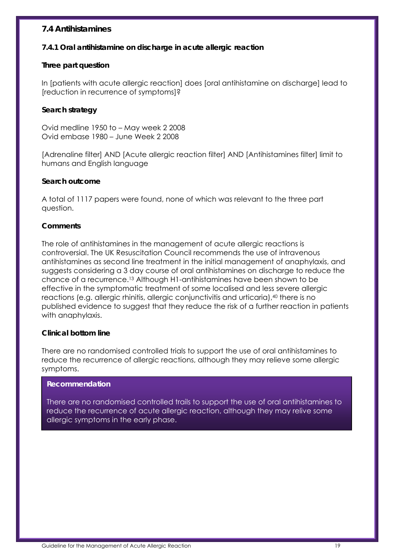## **7.4 Antihistamines**

#### *7.4.1 Oral antihistamine on discharge in acute allergic reaction*

#### **Three part question**

In [patients with acute allergic reaction] does [oral antihistamine on discharge] lead to [reduction in recurrence of symptoms]?

## **Search strategy**

Ovid medline 1950 to – May week 2 2008 Ovid embase 1980 – June Week 2 2008

[Adrenaline filter] AND [Acute allergic reaction filter] AND [Antihistamines filter] limit to humans and English language

#### **Search outcome**

A total of 1117 papers were found, none of which was relevant to the three part question.

#### **Comments**

The role of antihistamines in the management of acute allergic reactions is controversial. The UK Resuscitation Council recommends the use of intravenous antihistamines as second line treatment in the initial management of anaphylaxis, and suggests considering a 3 day course of oral antihistamines on discharge to reduce the chance of a recurrence.13 Although H1-antihistamines have been shown to be effective in the symptomatic treatment of some localised and less severe allergic reactions (e.g. allergic rhinitis, allergic conjunctivitis and urticaria),<sup>40</sup> there is no published evidence to suggest that they reduce the risk of a further reaction in patients with anaphylaxis.

#### **Clinical bottom line**

There are no randomised controlled trials to support the use of oral antihistamines to reduce the recurrence of allergic reactions, although they may relieve some allergic symptoms.

#### **Recommendation**

There are no randomised controlled trails to support the use of oral antihistamines to reduce the recurrence of acute allergic reaction, although they may relive some allergic symptoms in the early phase.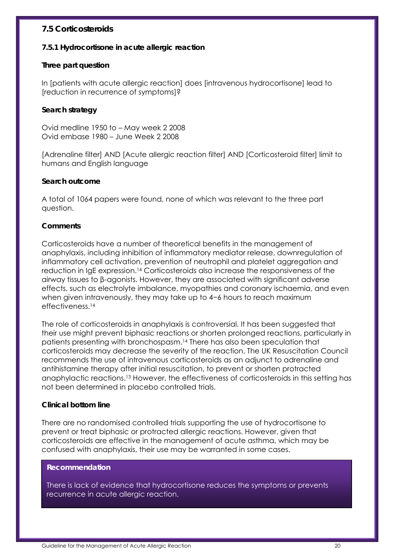## **7.5 Corticosteroids**

#### *7.5.1 Hydrocortisone in acute allergic reaction*

#### **Three part question**

In [patients with acute allergic reaction] does [intravenous hydrocortisone] lead to [reduction in recurrence of symptoms]?

## **Search strategy**

Ovid medline 1950 to – May week 2 2008 Ovid embase 1980 – June Week 2 2008

[Adrenaline filter] AND [Acute allergic reaction filter] AND [Corticosteroid filter] limit to humans and English language

#### **S***e***arch outcome**

A total of 1064 papers were found, none of which was relevant to the three part question.

#### **Comments**

Corticosteroids have a number of theoretical benefits in the management of anaphylaxis, including inhibition of inflammatory mediator release, downregulation of inflammatory cell activation, prevention of neutrophil and platelet aggregation and reduction in IgE expression.14 Corticosteroids also increase the responsiveness of the airway tissues to β-agonists. However, they are associated with significant adverse effects, such as electrolyte imbalance, myopathies and coronary ischaemia, and even when given intravenously, they may take up to 4−6 hours to reach maximum effectiveness.14

The role of corticosteroids in anaphylaxis is controversial. It has been suggested that their use might prevent biphasic reactions or shorten prolonged reactions, particularly in patients presenting with bronchospasm.14 There has also been speculation that corticosteroids may decrease the severity of the reaction. The UK Resuscitation Council recommends the use of intravenous corticosteroids as an adjunct to adrenaline and antihistamine therapy after initial resuscitation, to prevent or shorten protracted anaphylactic reactions.13 However, the effectiveness of corticosteroids in this setting has not been determined in placebo controlled trials.

#### **Clinical bottom line**

There are no randomised controlled trials supporting the use of hydrocortisone to prevent or treat biphasic or protracted allergic reactions. However, given that corticosteroids are effective in the management of acute asthma, which may be confused with anaphylaxis, their use may be warranted in some cases.

#### **Recommendation**

There is lack of evidence that hydrocortisone reduces the symptoms or prevents recurrence in acute allergic reaction.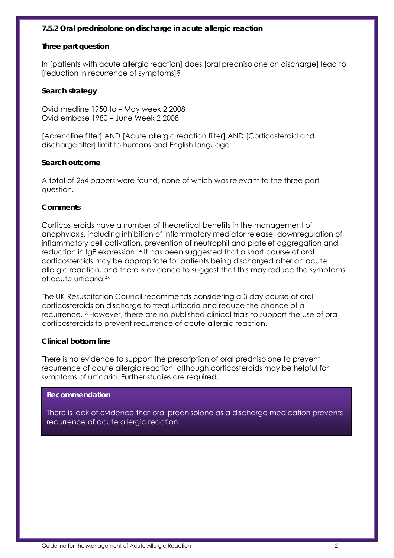## *7.5.2 Oral prednisolone on discharge in acute allergic reaction*

#### **Three part question**

In [patients with acute allergic reaction] does [oral prednisolone on discharge] lead to [reduction in recurrence of symptoms]?

#### **Search strategy**

Ovid medline 1950 to – May week 2 2008 Ovid embase 1980 – June Week 2 2008

[Adrenaline filter] AND [Acute allergic reaction filter] AND [Corticosteroid and discharge filter] limit to humans and English language

#### **Search outcome**

A total of 264 papers were found, none of which was relevant to the three part question.

#### **Comments**

Corticosteroids have a number of theoretical benefits in the management of anaphylaxis, including inhibition of inflammatory mediator release, downregulation of inflammatory cell activation, prevention of neutrophil and platelet aggregation and reduction in IgE expression.14 It has been suggested that a short course of oral corticosteroids may be appropriate for patients being discharged after an acute allergic reaction, and there is evidence to suggest that this may reduce the symptoms of acute urticaria.46

The UK Resuscitation Council recommends considering a 3 day course of oral corticosteroids on discharge to treat urticaria and reduce the chance of a recurrence.13 However, there are no published clinical trials to support the use of oral corticosteroids to prevent recurrence of acute allergic reaction.

#### **Clinical bottom line**

There is no evidence to support the prescription of oral prednisolone to prevent recurrence of acute allergic reaction, although corticosteroids may be helpful for symptoms of urticaria. Further studies are required.

#### **Recommendation**

There is lack of evidence that oral prednisolone as a discharge medication prevents recurrence of acute allergic reaction.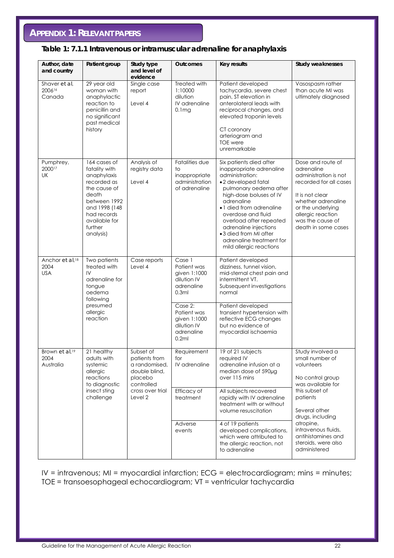## **APPENDIX 1: RELEVANT PAPERS**

## **Table 1: 7.1.1 Intravenous or intramuscular adrenaline for anaphylaxis**

| Author, date<br>and country                       | Patient group                                                                                                                                                                 | Study type<br>and level of<br>evidence                                                                               | <b>Outcomes</b>                                                              | <b>Key results</b>                                                                                                                                                                                                                                                                                                                                    | <b>Study weaknesses</b>                                                                                                                                                                                          |
|---------------------------------------------------|-------------------------------------------------------------------------------------------------------------------------------------------------------------------------------|----------------------------------------------------------------------------------------------------------------------|------------------------------------------------------------------------------|-------------------------------------------------------------------------------------------------------------------------------------------------------------------------------------------------------------------------------------------------------------------------------------------------------------------------------------------------------|------------------------------------------------------------------------------------------------------------------------------------------------------------------------------------------------------------------|
| Shaver et al,<br>200616<br>Canada                 | 29 year old<br>woman with<br>anaphylactic<br>reaction to<br>penicillin and<br>no significant<br>past medical<br>history                                                       | Single case<br>report<br>Level 4                                                                                     | Treated with<br>1:10000<br>dilution<br>IV adrenaline<br>0.1mg                | Patient developed<br>tachycardia, severe chest<br>pain, ST elevation in<br>anterolateral leads with<br>reciprocal changes, and<br>elevated troponin levels<br>CT coronary<br>arteriogram and<br><b>TOE</b> were<br>unremarkable                                                                                                                       | Vasospasm rather<br>than acute MI was<br>ultimately diagnosed                                                                                                                                                    |
| Pumphrey,<br>200017<br>UK                         | 164 cases of<br>fatality with<br>anaphylaxis<br>recorded as<br>the cause of<br>death<br>between 1992<br>and 1998 (148<br>had records<br>available for<br>further<br>analysis) | Analysis of<br>registry data<br>Level 4                                                                              | Fatalities due<br>to<br>inappropriate<br>administration<br>of adrenaline     | Six patients died after<br>inappropriate adrenaline<br>administration:<br>•2 developed fatal<br>pulmonary oedema after<br>high-dose boluses of IV<br>adrenaline<br>• 1 died from adrenaline<br>overdose and fluid<br>overload after repeated<br>adrenaline injections<br>•3 died from MI after<br>adrenaline treatment for<br>mild allergic reactions | Dose and route of<br>adrenaline<br>administration is not<br>recorded for all cases<br>It is not clear<br>whether adrenaline<br>or the underlying<br>allergic reaction<br>was the cause of<br>death in some cases |
| Anchor et al, <sup>18</sup><br>2004<br><b>USA</b> | Two patients<br>treated with<br>IV<br>adrenaline for<br>tongue<br>oedema                                                                                                      | Case reports<br>Level 4<br>following                                                                                 | Case 1<br>Patient was<br>given 1:1000<br>dilution IV<br>adrenaline<br>0.3ml  | Patient developed<br>dizziness, tunnel vision,<br>mid-sternal chest pain and<br>intermittent VT.<br>Subsequent investigations<br>normal                                                                                                                                                                                                               |                                                                                                                                                                                                                  |
|                                                   | presumed<br>allergic<br>reaction                                                                                                                                              |                                                                                                                      | Case 2:<br>Patient was<br>given 1:1000<br>dilution IV<br>adrenaline<br>0.2ml | Patient developed<br>transient hypertension with<br>reflective ECG changes<br>but no evidence of<br>myocardial ischaemia                                                                                                                                                                                                                              |                                                                                                                                                                                                                  |
| Brown et al. <sup>19</sup><br>2004<br>Australia   | 21 healthy<br>adults with<br>systemic<br>allergic<br>reactions<br>to diagnostic                                                                                               | Subset of<br>patients from<br>a randomised,<br>double blind,<br>placebo<br>controlled<br>cross over trial<br>Level 2 | Requirement<br>for<br>IV adrenaline                                          | 19 of 21 subjects<br>required IV<br>adrenaline infusion at a<br>median dose of 590µg<br>over 115 mins                                                                                                                                                                                                                                                 | Study involved a<br>small number of<br>volunteers<br>No control group<br>was available for                                                                                                                       |
|                                                   | insect sting<br>challenge                                                                                                                                                     |                                                                                                                      | Efficacy of<br>treatment                                                     | All subjects recovered<br>rapidly with IV adrenaline<br>treatment with or without<br>volume resuscitation                                                                                                                                                                                                                                             | this subset of<br>patients<br>Several other<br>drugs, including                                                                                                                                                  |
|                                                   |                                                                                                                                                                               |                                                                                                                      | Adverse<br>events                                                            | 4 of 19 patients<br>developed complications,<br>which were attributed to<br>the allergic reaction, not<br>to adrenaline                                                                                                                                                                                                                               | atropine,<br>intravenous fluids,<br>antihistamines and<br>steroids, were also<br>administered                                                                                                                    |

IV = intravenous; MI = myocardial infarction; ECG = electrocardiogram; mins = minutes; TOE = transoesophageal echocardiogram; VT = ventricular tachycardia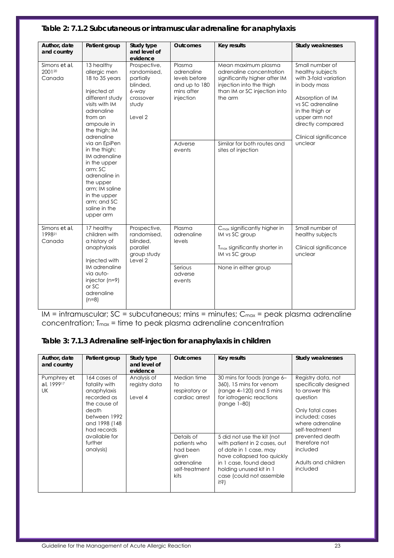| Author, date                      | Patient group                                                                                                                                                                                                                                                                                                        | Study type<br>and level of                                                                     | <b>Outcomes</b>                                                                                        | Key results                                                                                                                                                                                                  | Study weaknesses                                                                                                                                                                                                  |
|-----------------------------------|----------------------------------------------------------------------------------------------------------------------------------------------------------------------------------------------------------------------------------------------------------------------------------------------------------------------|------------------------------------------------------------------------------------------------|--------------------------------------------------------------------------------------------------------|--------------------------------------------------------------------------------------------------------------------------------------------------------------------------------------------------------------|-------------------------------------------------------------------------------------------------------------------------------------------------------------------------------------------------------------------|
| and country                       |                                                                                                                                                                                                                                                                                                                      | evidence                                                                                       |                                                                                                        |                                                                                                                                                                                                              |                                                                                                                                                                                                                   |
| Simons et al.<br>200120<br>Canada | 13 healthy<br>allergic men<br>18 to 35 years<br>Injected at<br>different study<br>visits with IM<br>adrenaline<br>from an<br>ampoule in<br>the thigh; IM<br>adrenaline<br>via an EpiPen<br>in the thigh;<br>IM adrenaline<br>in the upper<br>arm: SC<br>adrenaline in<br>the upper<br>arm: IM saline<br>in the upper | Prospective,<br>randomised,<br>partially<br>blinded,<br>6-way<br>crossover<br>study<br>Level 2 | Plasma<br>adrenaline<br>levels before<br>and up to 180<br>mins after<br>injection<br>Adverse<br>events | Mean maximum plasma<br>adrenaline concentration<br>significantly higher after IM<br>injection into the thigh<br>than IM or SC injection into<br>the arm<br>Similar for both routes and<br>sites of injection | Small number of<br>healthy subjects<br>with 3-fold variation<br>in body mass<br>Absorption of IM<br>vs SC adrenaline<br>in the thigh or<br>upper arm not<br>directly compared<br>Clinical significance<br>unclear |
|                                   | arm; and SC<br>saline in the<br>upper arm                                                                                                                                                                                                                                                                            |                                                                                                |                                                                                                        |                                                                                                                                                                                                              |                                                                                                                                                                                                                   |
| Simons et al.<br>199821<br>Canada | 17 healthy<br>children with<br>a history of<br>anaphylaxis<br>Injected with<br>IM adrenaline<br>via auto-                                                                                                                                                                                                            | Prospective,<br>randomised.<br>blinded,<br>parallel<br>group study<br>Level 2                  | Plasma<br>adrenaline<br>levels<br>Serious<br>adverse                                                   | C <sub>max</sub> significantly higher in<br>IM vs SC group<br>$Tmax$ significantly shorter in<br>IM vs SC group<br>None in either group                                                                      | Small number of<br>healthy subjects<br>Clinical significance<br>unclear                                                                                                                                           |
|                                   | injector $(n=9)$<br>$or$ SC<br>adrenaline<br>$(n=8)$                                                                                                                                                                                                                                                                 |                                                                                                | events                                                                                                 |                                                                                                                                                                                                              |                                                                                                                                                                                                                   |

#### **Table 2: 7.1.2 Subcutaneous or intramuscular adrenaline for anaphylaxis**

 $IM = intramuscular; SC = subcutaneous; mins = minutes; C<sub>max</sub> = peak plasma adrenaline$ concentration;  $T_{max}$  = time to peak plasma adrenaline concentration

## **Table 3: 7.1.3 Adrenaline self-injection for anaphylaxis in children**

| Author, date<br>and country     | Patient group                                                                                                                                                                 | Study type<br>and level of<br>evidence  | <b>Outcomes</b>                                                                                                                                          | Key results                                                                                                                                                                                                                                                                                                                                          | Study weaknesses                                                                                                                                                                                                                          |
|---------------------------------|-------------------------------------------------------------------------------------------------------------------------------------------------------------------------------|-----------------------------------------|----------------------------------------------------------------------------------------------------------------------------------------------------------|------------------------------------------------------------------------------------------------------------------------------------------------------------------------------------------------------------------------------------------------------------------------------------------------------------------------------------------------------|-------------------------------------------------------------------------------------------------------------------------------------------------------------------------------------------------------------------------------------------|
| Pumphrey et<br>al. 199917<br>UK | 164 cases of<br>fatality with<br>anaphylaxis<br>recorded as<br>the cause of<br>death<br>between 1992<br>and 1998 (148<br>had records<br>available for<br>further<br>analysis) | Analysis of<br>registry data<br>Level 4 | Median time<br>$\diamond$<br>respiratory or<br>cardiac arrest<br>Details of<br>patients who<br>had been<br>given<br>adrenaline<br>self-treatment<br>kits | 30 mins for foods (range 6-<br>360), 15 mins for venom<br>(range $4-120$ ) and 5 mins<br>for iatrogenic reactions<br>$(range 1-80)$<br>5 did not use the kit (not<br>with patient in 2 cases, out<br>of date in 1 case, may<br>have collapsed too quickly<br>in 1 case, found dead<br>holding unused kit in 1<br>case (could not assemble<br>$i$ 45) | Registry data, not<br>specifically designed<br>to answer this<br>question<br>Only fatal cases<br>included: cases<br>where adrenaline<br>self-treatment<br>prevented death<br>therefore not<br>included<br>Adults and children<br>included |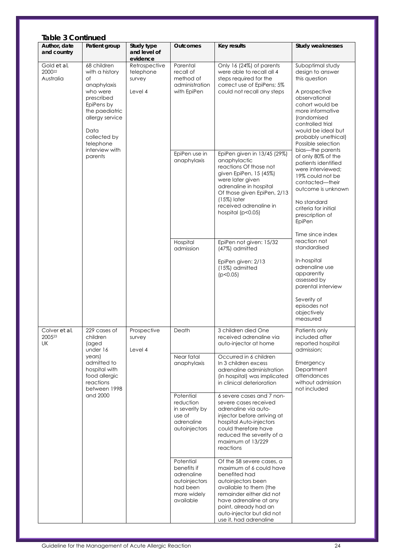| <b>Table 3 Continued</b>           |                                                                                                                                                                                                   |                                                 |                                                                                                     |                                                                                                                                                                                                                                                                                                                                                                                             |                                                                                                                                                                                                                                                                                                                                                                                                                                                             |
|------------------------------------|---------------------------------------------------------------------------------------------------------------------------------------------------------------------------------------------------|-------------------------------------------------|-----------------------------------------------------------------------------------------------------|---------------------------------------------------------------------------------------------------------------------------------------------------------------------------------------------------------------------------------------------------------------------------------------------------------------------------------------------------------------------------------------------|-------------------------------------------------------------------------------------------------------------------------------------------------------------------------------------------------------------------------------------------------------------------------------------------------------------------------------------------------------------------------------------------------------------------------------------------------------------|
| Author, date<br>and country        | Patient group                                                                                                                                                                                     | Study type<br>and level of<br>evidence          | <b>Outcomes</b>                                                                                     | <b>Key results</b>                                                                                                                                                                                                                                                                                                                                                                          | Study weaknesses                                                                                                                                                                                                                                                                                                                                                                                                                                            |
| Gold et al,<br>200022<br>Australia | 68 children<br>with a history<br>Οf<br>anaphylaxis<br>who were<br>prescribed<br>EpiPens by<br>the paediatric<br>allergy service<br>Data<br>collected by<br>telephone<br>interview with<br>parents | Retrospective<br>telephone<br>survey<br>Level 4 | Parental<br>recall of<br>method of<br>administration<br>with EpiPen<br>EpiPen use in<br>anaphylaxis | Only 16 (24%) of parents<br>were able to recall all 4<br>steps required for the<br>correct use of EpiPens; 5%<br>could not recall any steps<br>EpiPen given in 13/45 (29%)<br>anaphylactic<br>reactions Of those not<br>given EpiPen, 15 (45%)<br>were later given<br>adrenaline in hospital<br>Of those given EpiPen, 2/13<br>$(15%)$ later<br>received adrenaline in<br>hospital (p<0.05) | Suboptimal study<br>design to answer<br>this question<br>A prospective<br>observational<br>cohort would be<br>more informative<br>(randomised<br>controlled trial<br>would be ideal but<br>probably unethical)<br>Possible selection<br>bias-the parents<br>of only 80% of the<br>patients identified<br>were interviewed;<br>19% could not be<br>contacted-their<br>outcome is unknown<br>No standard<br>criteria for initial<br>prescription of<br>EpiPen |
|                                    |                                                                                                                                                                                                   |                                                 | Hospital<br>admission                                                                               | EpiPen not given: 15/32<br>(47%) admitted<br>EpiPen given: 2/13<br>(15%) admitted<br>(p<0.05)                                                                                                                                                                                                                                                                                               | Time since index<br>reaction not<br>standardised<br>In-hospital<br>adrenaline use<br>apparently<br>assessed by<br>parental interview<br>Severity of<br>episodes not<br>objectively<br>measured                                                                                                                                                                                                                                                              |
| Colver et al,<br>200523<br>UK      | 229 cases of<br>children<br>(aged<br>under 16                                                                                                                                                     | Prospective<br>survey<br>Level 4                | Death<br>Near fatal                                                                                 | 3 children died One<br>received adrenaline via<br>auto-injector at home<br>Occurred in 6 children                                                                                                                                                                                                                                                                                           | Patients only<br>included after<br>reported hospital<br>admission;                                                                                                                                                                                                                                                                                                                                                                                          |
|                                    | years)<br>admitted to<br>hospital with<br>food allergic<br>reactions<br>between 1998                                                                                                              |                                                 | anaphylaxis                                                                                         | In 3 children excess<br>adrenaline administration<br>(in hospital) was implicated<br>in clinical deterioration                                                                                                                                                                                                                                                                              | Emergency<br>Department<br>attendances<br>without admission<br>not included                                                                                                                                                                                                                                                                                                                                                                                 |
|                                    | and 2000                                                                                                                                                                                          |                                                 | Potential<br>reduction<br>in severity by<br>use of<br>adrenaline<br>autoinjectors                   | 6 severe cases and 7 non-<br>severe cases received<br>adrenaline via auto-<br>injector before arriving at<br>hospital Auto-injectors<br>could therefore have<br>reduced the severity of a<br>maximum of 13/229<br>reactions                                                                                                                                                                 |                                                                                                                                                                                                                                                                                                                                                                                                                                                             |
|                                    |                                                                                                                                                                                                   |                                                 | Potential<br>benefits if<br>adrenaline<br>autoinjectors<br>had been<br>more widely<br>available     | Of the 58 severe cases, a<br>maximum of 6 could have<br>benefited had<br>autoinjectors been<br>available to them (the<br>remainder either did not<br>have adrenaline at any<br>point, already had an<br>auto-injector but did not<br>use it, had adrenaline                                                                                                                                 |                                                                                                                                                                                                                                                                                                                                                                                                                                                             |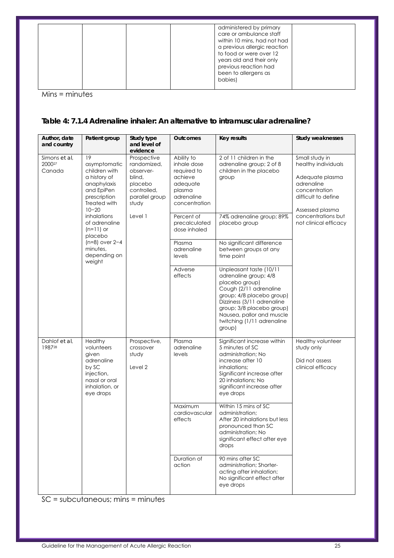|  | administered by primary<br>care or ambulance staff<br>within 10 mins, had not had<br>a previous allergic reaction<br>to food or were over 12<br>years old and their only<br>previous reaction had<br>been to allergens as<br>babies) |
|--|--------------------------------------------------------------------------------------------------------------------------------------------------------------------------------------------------------------------------------------|
|--|--------------------------------------------------------------------------------------------------------------------------------------------------------------------------------------------------------------------------------------|

Mins = minutes

#### **Table 4: 7.1.4 Adrenaline inhaler: An alternative to intramuscular adrenaline?**

| Author, date<br>and country       | Patient group                                                                                                                 | Study type<br>and level of                                                                                         | <b>Outcomes</b>                                                                                          | <b>Key results</b>                                                                                                                                                                                                                                        | Study weaknesses                                                                                                                  |
|-----------------------------------|-------------------------------------------------------------------------------------------------------------------------------|--------------------------------------------------------------------------------------------------------------------|----------------------------------------------------------------------------------------------------------|-----------------------------------------------------------------------------------------------------------------------------------------------------------------------------------------------------------------------------------------------------------|-----------------------------------------------------------------------------------------------------------------------------------|
| Simons et al,<br>200027<br>Canada | 19<br>asymptomatic<br>children with<br>a history of<br>anaphylaxis<br>and EpiPen<br>prescription<br>Treated with<br>$10 - 20$ | evidence<br>Prospective<br>randomized,<br>observer-<br>blind,<br>placebo<br>controlled,<br>parallel group<br>study | Ability to<br>inhale dose<br>required to<br>achieve<br>adequate<br>plasma<br>adrenaline<br>concentration | 2 of 11 children in the<br>adrenaline group; 2 of 8<br>children in the placebo<br>group                                                                                                                                                                   | Small study in<br>healthy individuals<br>Adequate plasma<br>adrenaline<br>concentration<br>difficult to define<br>Assessed plasma |
|                                   | inhalations<br>of adrenaline<br>$(n=11)$ or<br>placebo                                                                        | Level 1                                                                                                            | Percent of<br>precalculated<br>dose inhaled                                                              | 74% adrenaline group; 89%<br>placebo group                                                                                                                                                                                                                | concentrations but<br>not clinical efficacy                                                                                       |
|                                   | $(n=8)$ over $2-4$<br>minutes,<br>depending on<br>weight                                                                      |                                                                                                                    | Plasma<br>adrenaline<br>levels                                                                           | No significant difference<br>between groups at any<br>time point                                                                                                                                                                                          |                                                                                                                                   |
|                                   |                                                                                                                               |                                                                                                                    | Adverse<br>effects                                                                                       | Unpleasant taste (10/11<br>adrenaline group; 4/8<br>placebo group)<br>Cough (2/11 adrenaline<br>group; 4/8 placebo group)<br>Dizziness (3/11 adrenaline<br>group; 3/8 placebo group)<br>Nausea, pallor and muscle<br>twitching (1/11 adrenaline<br>group) |                                                                                                                                   |
| Dahlof et al,<br>198728           | Healthy<br>volunteers<br>given<br>adrenaline<br>by SC<br>injection,<br>nasal or oral<br>inhalation, or<br>eye drops           | Prospective,<br>crossover<br>study<br>Level 2                                                                      | Plasma<br>adrenaline<br>levels                                                                           | Significant increase within<br>5 minutes of SC<br>administration; No<br>increase after 10<br>inhalations;<br>Significant increase after<br>20 inhalations; No<br>significant increase after<br>eye drops                                                  | Healthy volunteer<br>study only<br>Did not assess<br>clinical efficacy                                                            |
|                                   |                                                                                                                               |                                                                                                                    | Maximum<br>cardiovascular<br>effects                                                                     | Within 15 mins of SC<br>administration;<br>After 20 inhalations but less<br>pronounced than SC<br>administration; No<br>significant effect after eye<br>drops                                                                                             |                                                                                                                                   |
|                                   |                                                                                                                               |                                                                                                                    | Duration of<br>action                                                                                    | 90 mins after SC<br>administration; Shorter-<br>acting after inhalation;<br>No significant effect after<br>eye drops                                                                                                                                      |                                                                                                                                   |

SC = subcutaneous; mins = minutes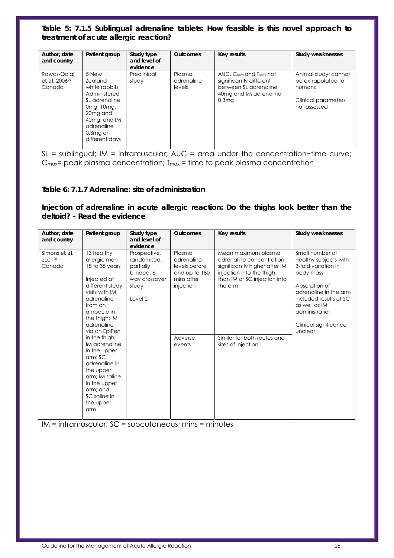#### **Table 5: 7.1.5 Sublingual adrenaline tablets: How feasible is this novel approach to treatment of acute allergic reaction?**

| Author, date<br>and country                         | Patient group                                                                                                                                                                 | Study type<br>and level of<br>evidence | <b>Outcomes</b>                | Key results                                                                                                                                  | <b>Study weaknesses</b>                                                                     |
|-----------------------------------------------------|-------------------------------------------------------------------------------------------------------------------------------------------------------------------------------|----------------------------------------|--------------------------------|----------------------------------------------------------------------------------------------------------------------------------------------|---------------------------------------------------------------------------------------------|
| Rawas-Qalaji<br>et al. 2006 <sup>29</sup><br>Canada | 5 New<br><b>Zealand</b><br>white rabbits<br>Administered<br>SL adrenaline<br>0mg, 10mg,<br>20 <sub>mg</sub> and<br>40mg; and IM<br>adrenaline<br>$0.3mg$ on<br>different days | Preclinical<br>study                   | Plasma<br>adrenaline<br>levels | $AUC.$ C <sub>max</sub> and $T_{max}$ not<br>significantly different<br>between SL adrenaline<br>40mg and IM adrenaline<br>0.3 <sub>mg</sub> | Animal study; cannot<br>be extrapolated to<br>humans<br>Clinical parameters<br>not assessed |

SL = sublingual; IM = intramuscular; AUC = area under the concentration−time curve;  $C_{\text{max}}$  peak plasma concentration;  $T_{\text{max}}$  = time to peak plasma concentration

#### **Table 6: 7.1.7 Adrenaline: site of administration**

**Injection of adrenaline in acute allergic reaction: Do the thighs look better than the deltoid? – Read the evidence** 

| Author, date<br>and country       | Patient group                                                                                                                                                                                                                                                                                                                                                       | Study type<br>and level of<br>evidence                                                       | <b>Outcomes</b>                                                                                        | Key results                                                                                                                                                                                                  | Study weaknesses                                                                                                                                                                                                        |
|-----------------------------------|---------------------------------------------------------------------------------------------------------------------------------------------------------------------------------------------------------------------------------------------------------------------------------------------------------------------------------------------------------------------|----------------------------------------------------------------------------------------------|--------------------------------------------------------------------------------------------------------|--------------------------------------------------------------------------------------------------------------------------------------------------------------------------------------------------------------|-------------------------------------------------------------------------------------------------------------------------------------------------------------------------------------------------------------------------|
| Simons et al,<br>200120<br>Canada | 13 healthy<br>allergic men<br>18 to 35 years<br>Injected at<br>different study<br>visits with IM<br>adrenaline<br>from an<br>ampoule in<br>the thigh; IM<br>adrenaline<br>via an EpiPen<br>in the thigh;<br>IM adrenaline<br>in the upper<br>arm:SC<br>adrenaline in<br>the upper<br>arm: IM saline<br>in the upper<br>arm; and<br>SC saline in<br>the upper<br>arm | Prospective,<br>randomised,<br>partially<br>blinded, 6-<br>way crossover<br>study<br>Level 2 | Plasma<br>adrenaline<br>levels before<br>and up to 180<br>mins after<br>injection<br>Adverse<br>events | Mean maximum plasma<br>adrenaline concentration<br>significantly higher after IM<br>injection into the thigh<br>than IM or SC injection into<br>the arm<br>Similar for both routes and<br>sites of injection | Small number of<br>healthy subjects with<br>3-fold variation in<br>body mass<br>Absorption of<br>adrenaline in the arm<br>included results of SC<br>as well as IM<br>administration<br>Clinical significance<br>unclear |

IM = intramuscular; SC = subcutaneous; mins = minutes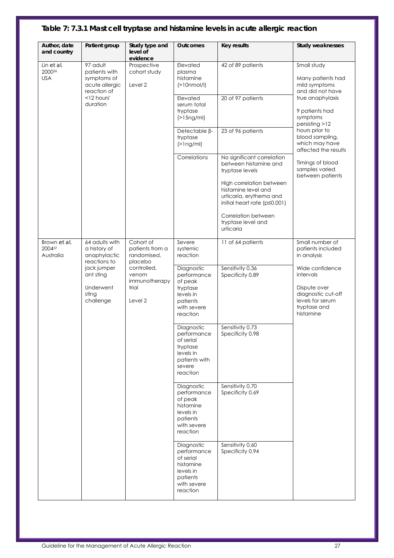## **Table 7: 7.3.1 Mast cell tryptase and histamine levels in acute allergic reaction**

| Author, date<br>and country         | Patient group                                                             | Study type and<br>level of<br>evidence                    | Outcomes                                                                                                | <b>Key results</b>                                                                                 | Study weaknesses                                                                                 |
|-------------------------------------|---------------------------------------------------------------------------|-----------------------------------------------------------|---------------------------------------------------------------------------------------------------------|----------------------------------------------------------------------------------------------------|--------------------------------------------------------------------------------------------------|
| Lin et al,<br>200036<br><b>USA</b>  | 97 adult<br>patients with<br>symptoms of<br>acute allergic<br>reaction of | Prospective<br>cohort study<br>Level 2                    | Elevated<br>plasma<br>histamine<br>(>10nmol/l)                                                          | 42 of 89 patients                                                                                  | Small study<br>Many patients had<br>mild symptoms<br>and did not have                            |
|                                     | <12 hours'<br>duration                                                    |                                                           | Elevated<br>serum total<br>tryptase<br>(>15ng/ml)                                                       | 20 of 97 patients                                                                                  | true anaphylaxis<br>9 patients had<br>symptoms<br>persisting >12                                 |
|                                     |                                                                           |                                                           | Detectable <sub>B</sub> -<br>tryptase<br>$(>\frac{1}{2}$                                                | 23 of 96 patients                                                                                  | hours prior to<br>blood sampling,<br>which may have<br>affected the results                      |
|                                     |                                                                           |                                                           | Correlations                                                                                            | No significant correlation<br>between histamine and<br>tryptase levels<br>High correlation between | Timings of blood<br>samples varied<br>between patients                                           |
|                                     |                                                                           |                                                           |                                                                                                         | histamine level and<br>urticaria, erythema and<br>initial heart rate (p≤0.001)                     |                                                                                                  |
|                                     |                                                                           |                                                           |                                                                                                         | Correlation between<br>tryptase level and<br>urticaria                                             |                                                                                                  |
| Brown et al,<br>200437<br>Australia | 64 adults with<br>a history of<br>anaphylactic<br>reactions to            | Cohort of<br>patients from a<br>randomised,<br>placebo    | Severe<br>systemic<br>reaction                                                                          | 11 of 64 patients<br>Sensitivity 0.36                                                              | Small number of<br>patients included<br>in analysis<br>Wide confidence                           |
|                                     | jack jumper<br>ant sting<br>Underwent<br>sting<br>challenge               | controlled,<br>venom<br>immunotherapy<br>trial<br>Level 2 | Diagnostic<br>performance<br>of peak<br>tryptase<br>levels in<br>patients<br>with severe<br>reaction    | Specificity 0.89                                                                                   | intervals<br>Dispute over<br>diagnostic cut-off<br>levels for serum<br>tryptase and<br>histamine |
|                                     |                                                                           |                                                           | Diagnostic<br>performance<br>of serial<br>tryptase<br>levels in<br>patients with<br>severe<br>reaction  | Sensitivity 0.73<br>Specificity 0.98                                                               |                                                                                                  |
|                                     |                                                                           |                                                           | Diagnostic<br>performance<br>of peak<br>histamine<br>levels in<br>patients<br>with severe<br>reaction   | Sensitivity 0.70<br>Specificity 0.69                                                               |                                                                                                  |
|                                     |                                                                           |                                                           | Diagnostic<br>performance<br>of serial<br>histamine<br>levels in<br>patients<br>with severe<br>reaction | Sensitivity 0.60<br>Specificity 0.94                                                               |                                                                                                  |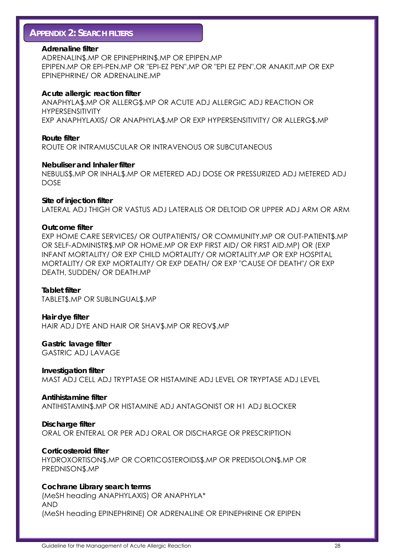## **APPENDIX 2: SEARCH FILTERS**

#### **Adrenaline filter**

ADRENALIN\$.MP OR EPINEPHRIN\$.MP OR EPIPEN.MP EPIPEN.MP OR EPI-PEN.MP OR "EPI-EZ PEN".MP OR "EPI EZ PEN".OR ANAKIT.MP OR EXP EPINEPHRINE/ OR ADRENALINE.MP

#### **Acute allergic reaction filter**

ANAPHYLA\$.MP OR ALLERG\$.MP OR ACUTE ADJ ALLERGIC ADJ REACTION OR HYPERSENSITIVITY EXP ANAPHYLAXIS/ OR ANAPHYLA\$.MP OR EXP HYPERSENSITIVITY/ OR ALLERG\$.MP

#### **Route filter**

ROUTE OR INTRAMUSCULAR OR INTRAVENOUS OR SUBCUTANEOUS

#### **Nebuliser and Inhaler filter**

NEBULIS\$.MP OR INHAL\$.MP OR METERED ADJ DOSE OR PRESSURIZED ADJ METERED ADJ DOSE

#### **Site of injection filter**

LATERAL ADJ THIGH OR VASTUS ADJ LATERALIS OR DELTOID OR UPPER ADJ ARM OR ARM

#### **Outcome filter**

EXP HOME CARE SERVICES/ OR OUTPATIENTS/ OR COMMUNITY.MP OR OUT-PATIENT\$.MP OR SELF-ADMINISTR\$.MP OR HOME.MP OR EXP FIRST AID/ OR FIRST AID.MP) OR (EXP INFANT MORTALITY/ OR EXP CHILD MORTALITY/ OR MORTALITY.MP OR EXP HOSPITAL MORTALITY/ OR EXP MORTALITY/ OR EXP DEATH/ OR EXP "CAUSE OF DEATH"/ OR EXP DEATH, SUDDEN/ OR DEATH.MP

#### **Tablet filter**

TABLET\$.MP OR SUBLINGUAL\$.MP

**Hair dye filter**  HAIR ADJ DYE AND HAIR OR SHAV\$.MP OR REOV\$.MP

**Gastric lavage filter**  GASTRIC ADJ LAVAGE

**Investigation filter**  MAST ADJ CELL ADJ TRYPTASE OR HISTAMINE ADJ LEVEL OR TRYPTASE ADJ LEVEL

**Antihistamine filter**  ANTIHISTAMIN\$.MP OR HISTAMINE ADJ ANTAGONIST OR H1 ADJ BLOCKER

**Discharge filter**  ORAL OR ENTERAL OR PER ADJ ORAL OR DISCHARGE OR PRESCRIPTION

#### **Corticosteroid filter**

HYDROXORTISON\$.MP OR CORTICOSTEROIDS\$.MP OR PREDISOLON\$.MP OR PREDNISON\$.MP

#### **Cochrane Library search terms**

(MeSH heading ANAPHYLAXIS) OR ANAPHYLA\* AND (MeSH heading EPINEPHRINE) OR ADRENALINE OR EPINEPHRINE OR EPIPEN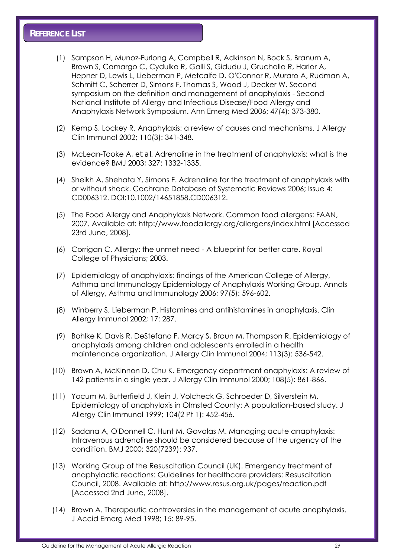- (1) Sampson H, Munoz-Furlong A, Campbell R, Adkinson N, Bock S, Branum A, Brown S, Camargo C, Cydulka R, Galli S, Gidudu J, Gruchalla R, Harlor A, Hepner D, Lewis L, Lieberman P, Metcalfe D, O'Connor R, Muraro A, Rudman A, Schmitt C, Scherrer D, Simons F, Thomas S, Wood J, Decker W. Second symposium on the definition and management of anaphylaxis - Second National Institute of Allergy and Infectious Disease/Food Allergy and Anaphylaxis Network Symposium. Ann Emerg Med 2006; 47(4): 373-380.
- (2) Kemp S, Lockey R. Anaphylaxis: a review of causes and mechanisms. J Allergy Clin Immunol 2002; 110(3): 341-348.
- (3) McLean-Tooke A, *et al*. Adrenaline in the treatment of anaphylaxis: what is the evidence? BMJ 2003; 327: 1332-1335.
- (4) Sheikh A, Shehata Y, Simons F. Adrenaline for the treatment of anaphylaxis with or without shock. Cochrane Database of Systematic Reviews 2006; Issue 4: CD006312. DOI:10.1002/14651858.CD006312.
- (5) The Food Allergy and Anaphylaxis Network. Common food allergens: FAAN, 2007. Available at: http://www.foodallergy.org/allergens/index.html [Accessed 23rd June, 2008].
- (6) Corrigan C. Allergy: the unmet need A blueprint for better care. Royal College of Physicians; 2003.
- (7) Epidemiology of anaphylaxis: findings of the American College of Allergy, Asthma and Immunology Epidemiology of Anaphylaxis Working Group. Annals of Allergy, Asthma and Immunology 2006; 97(5): 596-602.
- (8) Winberry S, Lieberman P. Histamines and antihistamines in anaphylaxis. Clin Allergy Immunol 2002; 17: 287.
- (9) Bohlke K, Davis R, DeStefano F, Marcy S, Braun M, Thompson R. Epidemiology of anaphylaxis among children and adolescents enrolled in a health maintenance organization. J Allergy Clin Immunol 2004; 113(3): 536-542.
- (10) Brown A, McKinnon D, Chu K. Emergency department anaphylaxis: A review of 142 patients in a single year. J Allergy Clin Immunol 2000; 108(5): 861-866.
- (11) Yocum M, Butterfield J, Klein J, Volcheck G, Schroeder D, Silverstein M. Epidemiology of anaphylaxis in Olmsted County: A population-based study. J Allergy Clin Immunol 1999; 104(2 Pt 1): 452-456.
- (12) Sadana A, O'Donnell C, Hunt M, Gavalas M. Managing acute anaphylaxis: Intravenous adrenaline should be considered because of the urgency of the condition. BMJ 2000; 320(7239): 937.
- (13) Working Group of the Resuscitation Council (UK). Emergency treatment of anaphylactic reactions: Guidelines for healthcare providers: Resuscitation Council, 2008. Available at: http://www.resus.org.uk/pages/reaction.pdf [Accessed 2nd June, 2008].
- (14) Brown A. Therapeutic controversies in the management of acute anaphylaxis. J Accid Emerg Med 1998; 15: 89-95.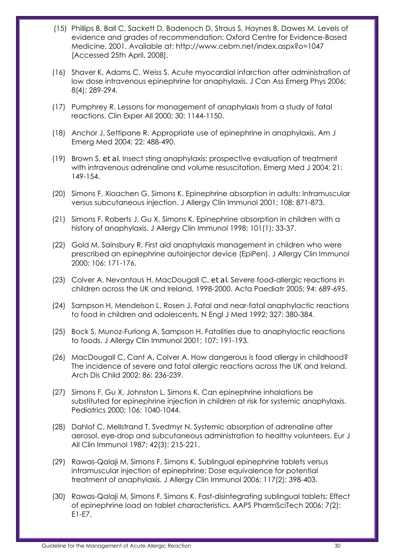- (15) Phillips B, Ball C, Sackett D, Badenoch D, Straus S, Haynes B, Dawes M. Levels of evidence and grades of recommendation: Oxford Centre for Evidence-Based Medicine, 2001. Available at: http://www.cebm.net/index.aspx?o=1047 [Accessed 25th April, 2008].
- (16) Shaver K, Adams C, Weiss S. Acute myocardial infarction after administration of low dose intravenous epinephrine for anaphylaxis. J Can Ass Emerg Phys 2006; 8(4): 289-294.
- (17) Pumphrey R. Lessons for management of anaphylaxis from a study of fatal reactions. Clin Exper All 2000; 30: 1144-1150.
- (18) Anchor J, Settipane R. Appropriate use of epinephrine in anaphylaxis. Am J Emerg Med 2004; 22: 488-490.
- (19) Brown S, *et al*. Insect sting anaphylaxis: prospective evaluation of treatment with intravenous adrenaline and volume resuscitation. Emerg Med J 2004; 21: 149-154.
- (20) Simons F, Xioachen G, Simons K. Epinephrine absorption in adults: Intramuscular versus subcutaneous injection. J Allergy Clin Immunol 2001; 108: 871-873.
- (21) Simons F, Roberts J, Gu X, Simons K. Epinephrine absorption in children with a history of anaphylaxis. J Allergy Clin Immunol 1998; 101(1): 33-37.
- (22) Gold M, Sainsbury R. First aid anaphylaxis management in children who were prescribed an epinephrine autoinjector device (EpiPen). J Allergy Clin Immunol 2000; 106: 171-176.
- (23) Colver A, Nevantaus H, MacDougall C, *et al*. Severe food-allergic reactions in children across the UK and Ireland, 1998-2000. Acta Paediatr 2005; 94: 689-695.
- (24) Sampson H, Mendelson L, Rosen J. Fatal and near-fatal anaphylactic reactions to food in children and adolescents. N Engl J Med 1992; 327: 380-384.
- (25) Bock S, Munoz-Furlong A, Sampson H. Fatalities due to anaphylactic reactions to foods. J Allergy Clin Immunol 2001; 107: 191-193.
- (26) MacDougall C, Cant A, Colver A. How dangerous is food allergy in childhood? The incidence of severe and fatal allergic reactions across the UK and Ireland. Arch Dis Child 2002; 86: 236-239.
- (27) Simons F, Gu X, Johnston L, Simons K. Can epinephrine inhalations be substituted for epinephrine injection in children at risk for systemic anaphylaxis. Pediatrics 2000; 106: 1040-1044.
- (28) Dahlof C, Mellstrand T, Svedmyr N. Systemic absorption of adrenaline after aerosol, eye-drop and subcutaneous administration to healthy volunteers. Eur J All Clin Immunol 1987; 42(3): 215-221.
- (29) Rawas-Qalaji M, Simons F, Simons K. Sublingual epinephrine tablets versus intramuscular injection of epinephrine: Dose equivalence for potential treatment of anaphylaxis. J Allergy Clin Immunol 2006; 117(2): 398-403.
- (30) Rawas-Qalaji M, Simons F, Simons K. Fast-disintegrating sublingual tablets: Effect of epinephrine load on tablet characteristics. AAPS PharmSciTech 2006; 7(2): E1-E7.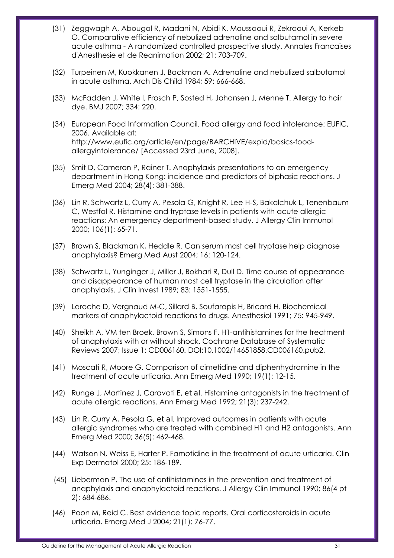- (31) Zeggwagh A, Abougal R, Madani N, Abidi K, Moussaoui R, Zekraoui A, Kerkeb O. Comparative efficiency of nebulized adrenaline and salbutamol in severe acute asthma - A randomized controlled prospective study. Annales Francaises d'Anesthesie et de Reanimation 2002; 21: 703-709.
- (32) Turpeinen M, Kuokkanen J, Backman A. Adrenaline and nebulized salbutamol in acute asthma. Arch Dis Child 1984; 59: 666-668.
- (33) McFadden J, White I, Frosch P, Sosted H, Johansen J, Menne T. Allergy to hair dye. BMJ 2007; 334: 220.
- (34) European Food Information Council. Food allergy and food intolerance: EUFIC, 2006. Available at: http://www.eufic.org/article/en/page/BARCHIVE/expid/basics-foodallergyintolerance/ [Accessed 23rd June, 2008].
- (35) Smit D, Cameron P, Rainer T. Anaphylaxis presentations to an emergency department in Hong Kong: incidence and predictors of biphasic reactions. J Emerg Med 2004; 28(4): 381-388.
- (36) Lin R, Schwartz L, Curry A, Pesola G, Knight R, Lee H-S, Bakalchuk L, Tenenbaum C, Westfal R. Histamine and tryptase levels in patients with acute allergic reactions: An emergency department-based study. J Allergy Clin Immunol 2000; 106(1): 65-71.
- (37) Brown S, Blackman K, Heddle R. Can serum mast cell tryptase help diagnose anaphylaxis? Emerg Med Aust 2004; 16: 120-124.
- (38) Schwartz L, Yunginger J, Miller J, Bokhari R, Dull D. Time course of appearance and disappearance of human mast cell tryptase in the circulation after anaphylaxis. J Clin Invest 1989; 83: 1551-1555.
- (39) Laroche D, Vergnaud M-C, Sillard B, Soufarapis H, Bricard H. Biochemical markers of anaphylactoid reactions to drugs. Anesthesiol 1991; 75: 945-949.
- (40) Sheikh A, VM ten Broek, Brown S, Simons F. H1-antihistamines for the treatment of anaphylaxis with or without shock. Cochrane Database of Systematic Reviews 2007; Issue 1: CD006160. DOI:10.1002/14651858.CD006160.pub2.
- (41) Moscati R, Moore G. Comparison of cimetidine and diphenhydramine in the treatment of acute urticaria. Ann Emerg Med 1990; 19(1): 12-15.
- (42) Runge J, Martinez J, Caravati E, *et al*. Histamine antagonists in the treatment of acute allergic reactions. Ann Emerg Med 1992; 21(3): 237-242.
- (43) Lin R, Curry A, Pesola G, *et al*. Improved outcomes in patients with acute allergic syndromes who are treated with combined H1 and H2 antagonists. Ann Emerg Med 2000; 36(5): 462-468.
- (44) Watson N, Weiss E, Harter P. Famotidine in the treatment of acute urticaria. Clin Exp Dermatol 2000; 25: 186-189.
- (45) Lieberman P. The use of antihistamines in the prevention and treatment of anaphylaxis and anaphylactoid reactions. J Allergy Clin Immunol 1990; 86(4 pt 2): 684-686.
- (46) Poon M, Reid C. Best evidence topic reports. Oral corticosteroids in acute urticaria. Emerg Med J 2004; 21(1): 76-77.